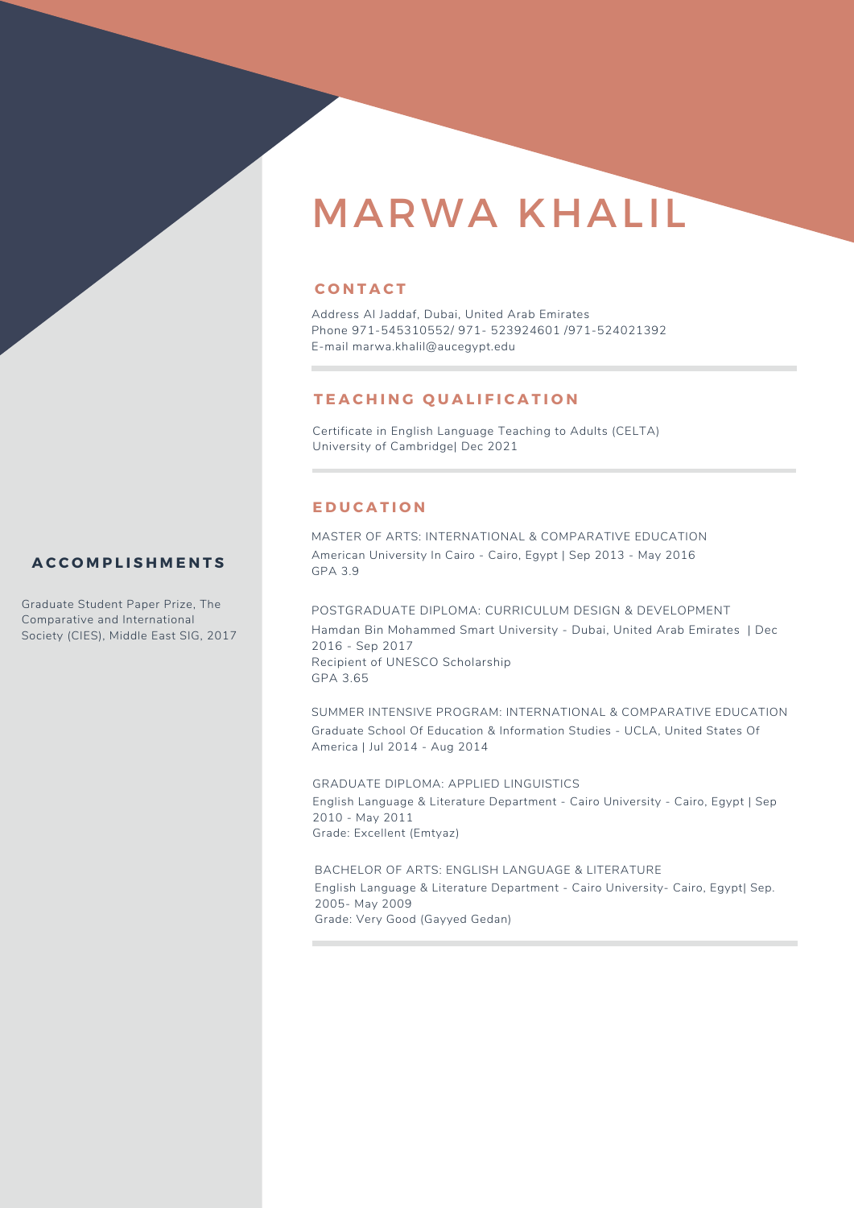# MARWA KHALIL

# **C O N T A C T**

Address Al Jaddaf, Dubai, United Arab Emirates Phone 971-545310552/ 971- 523924601 /971-524021392 E-mail marwa.khalil@aucegypt.edu

# **T E A C H I N G Q U A L I F I C A T I O N**

Certificate in English Language Teaching to Adults (CELTA) University of Cambridge| Dec 2021

## **E D U C A T I O N**

MASTER OF ARTS: INTERNATIONAL & COMPARATIVE EDUCATION American University In Cairo - Cairo, Egypt | Sep 2013 - May 2016 GPA 3.9

POSTGRADUATE DIPLOMA: CURRICULUM DESIGN & DEVELOPMENT Hamdan Bin Mohammed Smart University - Dubai, United Arab Emirates | Dec 2016 - Sep 2017 Recipient of UNESCO Scholarship GPA 3.65

SUMMER INTENSIVE PROGRAM: INTERNATIONAL & COMPARATIVE EDUCATION Graduate School Of Education & Information Studies - UCLA, United States Of America | Jul 2014 - Aug 2014

GRADUATE DIPLOMA: APPLIED LINGUISTICS English Language & Literature Department - Cairo University - Cairo, Egypt | Sep 2010 - May 2011 Grade: Excellent (Emtyaz)

BACHELOR OF ARTS: ENGLISH LANGUAGE & LITERATURE English Language & Literature Department - Cairo University- Cairo, Egypt| Sep. 2005- May 2009 Grade: Very Good (Gayyed Gedan)

# **A C C O M P L I S H M E N T S**

Graduate Student Paper Prize, The Comparative and International Society (CIES), Middle East SIG, 2017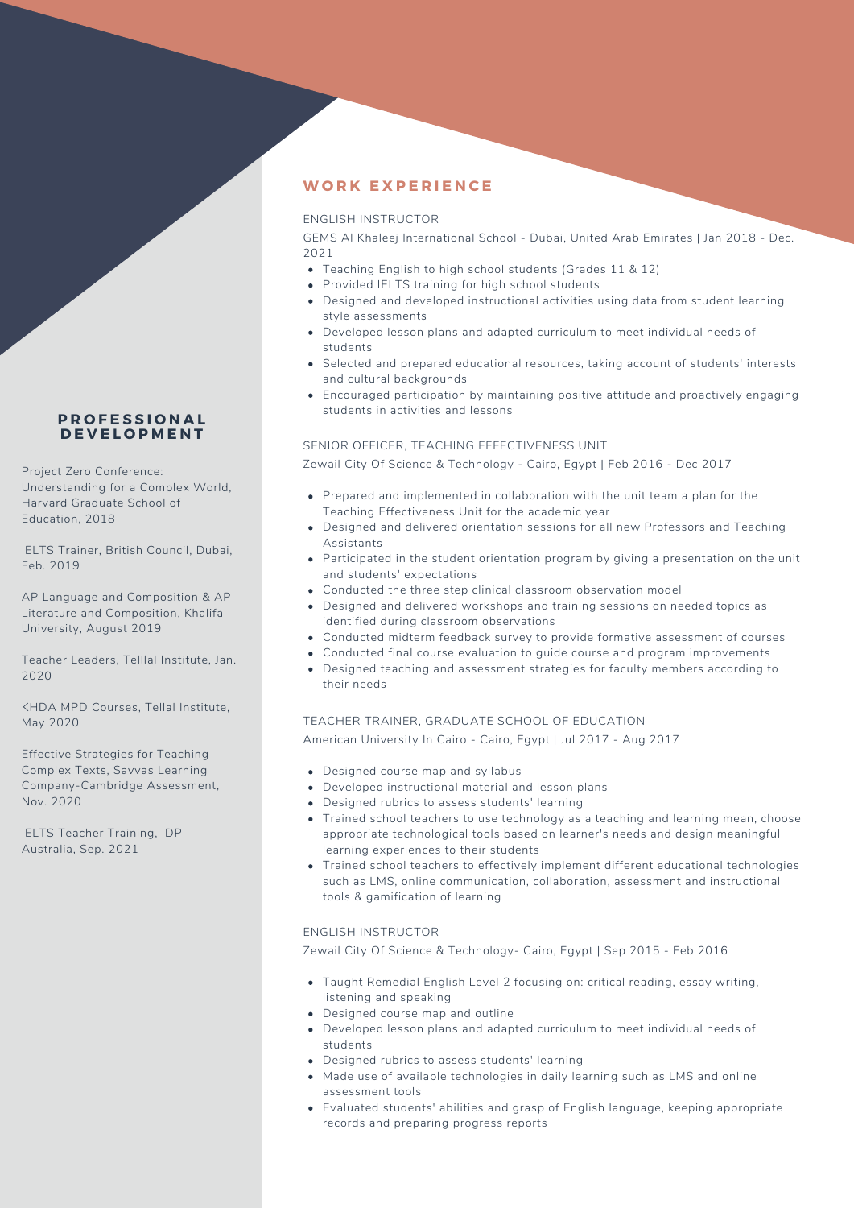# **P R O F E S S I O N A L D E V E L O P M E N T**

Project Zero Conference: Understanding for a Complex World, Harvard Graduate School of Education, 2018

IELTS Trainer, British Council, Dubai, Feb. 2019

AP Language and Composition & AP Literature and Composition, Khalifa University, August 2019

Teacher Leaders, Telllal Institute, Jan. 2020

KHDA MPD Courses, Tellal Institute, May 2020

Effective Strategies for Teaching Complex Texts, Savvas Learning Company-Cambridge Assessment, Nov. 2020

IELTS Teacher Training, IDP Australia, Sep. 2021

# **W O R K E X P E R I E N C E**

## ENGLISH INSTRUCTOR

GEMS Al Khaleej International School - Dubai, United Arab Emirates | Jan 2018 - Dec. 2021

- Teaching English to high school students (Grades 11 & 12)
- Provided IELTS training for high school students
- Designed and developed instructional activities using data from student learning style assessments
- Developed lesson plans and adapted curriculum to meet individual needs of students
- Selected and prepared educational resources, taking account of students' interests and cultural backgrounds
- Encouraged participation by maintaining positive attitude and proactively engaging students in activities and lessons

#### SENIOR OFFICER, TEACHING EFFECTIVENESS UNIT

Zewail City Of Science & Technology - Cairo, Egypt | Feb 2016 - Dec 2017

- Prepared and implemented in collaboration with the unit team a plan for the Teaching Effectiveness Unit for the academic year
- Designed and delivered orientation sessions for all new Professors and Teaching Assistants
- Participated in the student orientation program by giving a presentation on the unit and students' expectations
- Conducted the three step clinical classroom observation model
- Designed and delivered workshops and training sessions on needed topics as identified during classroom observations
- Conducted midterm feedback survey to provide formative assessment of courses
- Conducted final course evaluation to guide course and program improvements
- Designed teaching and assessment strategies for faculty members according to their needs

#### TEACHER TRAINER, GRADUATE SCHOOL OF EDUCATION

American University In Cairo - Cairo, Egypt | Jul 2017 - Aug 2017

- Designed course map and syllabus
- Developed instructional material and lesson plans
- Designed rubrics to assess students' learning
- Trained school teachers to use technology as a teaching and learning mean, choose appropriate technological tools based on learner's needs and design meaningful learning experiences to their students
- Trained school teachers to effectively implement different educational technologies such as LMS, online communication, collaboration, assessment and instructional tools & gamification of learning

## ENGLISH INSTRUCTOR

Zewail City Of Science & Technology- Cairo, Egypt | Sep 2015 - Feb 2016

- Taught Remedial English Level 2 focusing on: critical reading, essay writing, listening and speaking
- Designed course map and outline
- Developed lesson plans and adapted curriculum to meet individual needs of students
- Designed rubrics to assess students' learning
- Made use of available technologies in daily learning such as LMS and online assessment tools
- Evaluated students' abilities and grasp of English language, keeping appropriate records and preparing progress reports